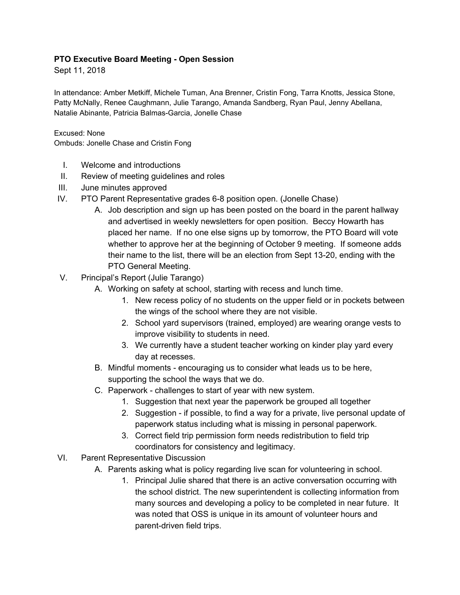## **PTO Executive Board Meeting - Open Session**

Sept 11, 2018

In attendance: Amber Metkiff, Michele Tuman, Ana Brenner, Cristin Fong, Tarra Knotts, Jessica Stone, Patty McNally, Renee Caughmann, Julie Tarango, Amanda Sandberg, Ryan Paul, Jenny Abellana, Natalie Abinante, Patricia Balmas-Garcia, Jonelle Chase

Excused: None

Ombuds: Jonelle Chase and Cristin Fong

- I. Welcome and introductions
- II. Review of meeting guidelines and roles
- III. June minutes approved
- IV. PTO Parent Representative grades 6-8 position open. (Jonelle Chase)
	- A. Job description and sign up has been posted on the board in the parent hallway and advertised in weekly newsletters for open position. Beccy Howarth has placed her name. If no one else signs up by tomorrow, the PTO Board will vote whether to approve her at the beginning of October 9 meeting. If someone adds their name to the list, there will be an election from Sept 13-20, ending with the PTO General Meeting.
- V. Principal's Report (Julie Tarango)
	- A. Working on safety at school, starting with recess and lunch time.
		- 1. New recess policy of no students on the upper field or in pockets between the wings of the school where they are not visible.
		- 2. School yard supervisors (trained, employed) are wearing orange vests to improve visibility to students in need.
		- 3. We currently have a student teacher working on kinder play yard every day at recesses.
	- B. Mindful moments encouraging us to consider what leads us to be here, supporting the school the ways that we do.
	- C. Paperwork challenges to start of year with new system.
		- 1. Suggestion that next year the paperwork be grouped all together
		- 2. Suggestion if possible, to find a way for a private, live personal update of paperwork status including what is missing in personal paperwork.
		- 3. Correct field trip permission form needs redistribution to field trip coordinators for consistency and legitimacy.
- VI. Parent Representative Discussion
	- A. Parents asking what is policy regarding live scan for volunteering in school.
		- 1. Principal Julie shared that there is an active conversation occurring with the school district. The new superintendent is collecting information from many sources and developing a policy to be completed in near future. It was noted that OSS is unique in its amount of volunteer hours and parent-driven field trips.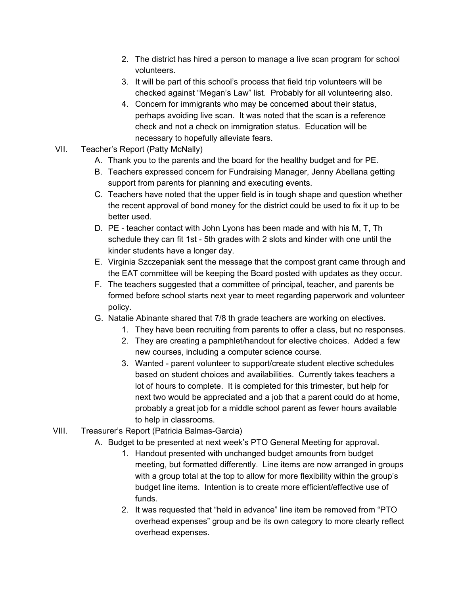- 2. The district has hired a person to manage a live scan program for school volunteers.
- 3. It will be part of this school's process that field trip volunteers will be checked against "Megan's Law" list. Probably for all volunteering also.
- 4. Concern for immigrants who may be concerned about their status, perhaps avoiding live scan. It was noted that the scan is a reference check and not a check on immigration status. Education will be necessary to hopefully alleviate fears.
- VII. Teacher's Report (Patty McNally)
	- A. Thank you to the parents and the board for the healthy budget and for PE.
	- B. Teachers expressed concern for Fundraising Manager, Jenny Abellana getting support from parents for planning and executing events.
	- C. Teachers have noted that the upper field is in tough shape and question whether the recent approval of bond money for the district could be used to fix it up to be better used.
	- D. PE teacher contact with John Lyons has been made and with his M, T, Th schedule they can fit 1st - 5th grades with 2 slots and kinder with one until the kinder students have a longer day.
	- E. Virginia Szczepaniak sent the message that the compost grant came through and the EAT committee will be keeping the Board posted with updates as they occur.
	- F. The teachers suggested that a committee of principal, teacher, and parents be formed before school starts next year to meet regarding paperwork and volunteer policy.
	- G. Natalie Abinante shared that 7/8 th grade teachers are working on electives.
		- 1. They have been recruiting from parents to offer a class, but no responses.
		- 2. They are creating a pamphlet/handout for elective choices. Added a few new courses, including a computer science course.
		- 3. Wanted parent volunteer to support/create student elective schedules based on student choices and availabilities. Currently takes teachers a lot of hours to complete. It is completed for this trimester, but help for next two would be appreciated and a job that a parent could do at home, probably a great job for a middle school parent as fewer hours available to help in classrooms.
- VIII. Treasurer's Report (Patricia Balmas-Garcia)
	- A. Budget to be presented at next week's PTO General Meeting for approval.
		- 1. Handout presented with unchanged budget amounts from budget meeting, but formatted differently. Line items are now arranged in groups with a group total at the top to allow for more flexibility within the group's budget line items. Intention is to create more efficient/effective use of funds.
		- 2. It was requested that "held in advance" line item be removed from "PTO overhead expenses" group and be its own category to more clearly reflect overhead expenses.